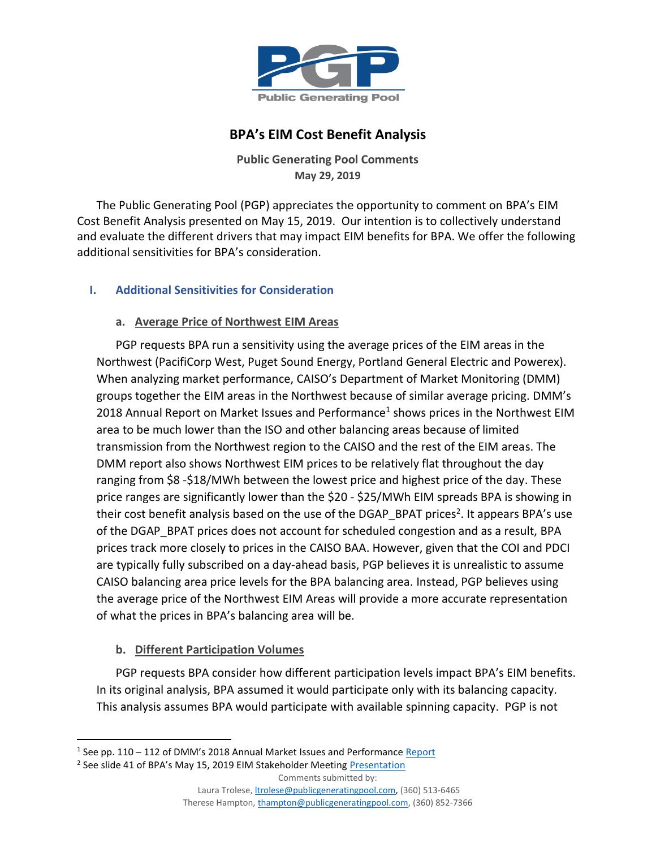

# **BPA's EIM Cost Benefit Analysis**

**Public Generating Pool Comments May 29, 2019**

The Public Generating Pool (PGP) appreciates the opportunity to comment on BPA's EIM Cost Benefit Analysis presented on May 15, 2019. Our intention is to collectively understand and evaluate the different drivers that may impact EIM benefits for BPA. We offer the following additional sensitivities for BPA's consideration.

## **I. Additional Sensitivities for Consideration**

### **a. Average Price of Northwest EIM Areas**

PGP requests BPA run a sensitivity using the average prices of the EIM areas in the Northwest (PacifiCorp West, Puget Sound Energy, Portland General Electric and Powerex). When analyzing market performance, CAISO's Department of Market Monitoring (DMM) groups together the EIM areas in the Northwest because of similar average pricing. DMM's 2018 Annual Report on Market Issues and Performance<sup>1</sup> shows prices in the Northwest EIM area to be much lower than the ISO and other balancing areas because of limited transmission from the Northwest region to the CAISO and the rest of the EIM areas. The DMM report also shows Northwest EIM prices to be relatively flat throughout the day ranging from \$8 -\$18/MWh between the lowest price and highest price of the day. These price ranges are significantly lower than the \$20 - \$25/MWh EIM spreads BPA is showing in their cost benefit analysis based on the use of the DGAP\_BPAT prices<sup>2</sup>. It appears BPA's use of the DGAP\_BPAT prices does not account for scheduled congestion and as a result, BPA prices track more closely to prices in the CAISO BAA. However, given that the COI and PDCI are typically fully subscribed on a day-ahead basis, PGP believes it is unrealistic to assume CAISO balancing area price levels for the BPA balancing area. Instead, PGP believes using the average price of the Northwest EIM Areas will provide a more accurate representation of what the prices in BPA's balancing area will be.

# **b. Different Participation Volumes**

 $\overline{\phantom{a}}$ 

PGP requests BPA consider how different participation levels impact BPA's EIM benefits. In its original analysis, BPA assumed it would participate only with its balancing capacity. This analysis assumes BPA would participate with available spinning capacity. PGP is not

Therese Hampton[, thampton@publicgeneratingpool.com,](mailto:thampton@publicgeneratingpool.com) (360) 852-7366

<sup>&</sup>lt;sup>1</sup> See pp. 110 – 112 of DMM's 2018 Annual Market Issues and Performance **[Report](http://www.caiso.com/Documents/2018AnnualReportonMarketIssuesandPerformance.pdf)** 

<sup>&</sup>lt;sup>2</sup> See slide 41 of BPA's May 15, 2019 EIM Stakeholder Meeting <u>Presentation</u>

Comments submitted by:

Laura Trolese, *ltrolese@publicgeneratingpool.com*, (360) 513-6465